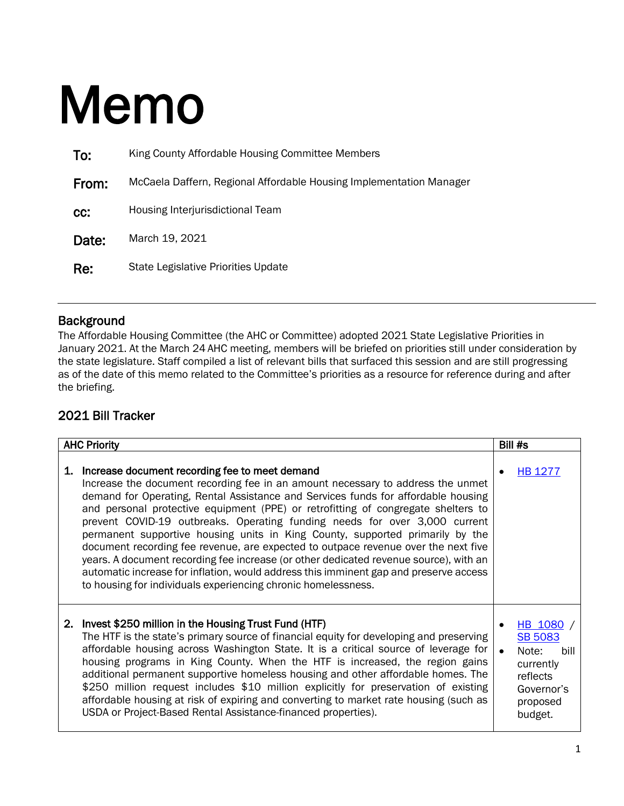## Memo

| To:   | King County Affordable Housing Committee Members                    |
|-------|---------------------------------------------------------------------|
| From: | McCaela Daffern, Regional Affordable Housing Implementation Manager |
| CC:   | Housing Interjurisdictional Team                                    |
| Date: | March 19, 2021                                                      |
| Re:   | State Legislative Priorities Update                                 |

## **Background**

The Affordable Housing Committee (the AHC or Committee) adopted 2021 State Legislative Priorities in January 2021. At the March 24 AHC meeting, members will be briefed on priorities still under consideration by the state legislature. Staff compiled a list of relevant bills that surfaced this session and are still progressing as of the date of this memo related to the Committee's priorities as a resource for reference during and after the briefing.

## 2021 Bill Tracker

| <b>AHC Priority</b> |                                                                                                                                                                                                                                                                                                                                                                                                                                                                                                                                                                                                                                                                                                                                                                                                                     |  | Bill #s                                                                                                    |
|---------------------|---------------------------------------------------------------------------------------------------------------------------------------------------------------------------------------------------------------------------------------------------------------------------------------------------------------------------------------------------------------------------------------------------------------------------------------------------------------------------------------------------------------------------------------------------------------------------------------------------------------------------------------------------------------------------------------------------------------------------------------------------------------------------------------------------------------------|--|------------------------------------------------------------------------------------------------------------|
| 1.                  | Increase document recording fee to meet demand<br>Increase the document recording fee in an amount necessary to address the unmet<br>demand for Operating, Rental Assistance and Services funds for affordable housing<br>and personal protective equipment (PPE) or retrofitting of congregate shelters to<br>prevent COVID-19 outbreaks. Operating funding needs for over 3,000 current<br>permanent supportive housing units in King County, supported primarily by the<br>document recording fee revenue, are expected to outpace revenue over the next five<br>years. A document recording fee increase (or other dedicated revenue source), with an<br>automatic increase for inflation, would address this imminent gap and preserve access<br>to housing for individuals experiencing chronic homelessness. |  | <b>HB 1277</b>                                                                                             |
|                     | 2. Invest \$250 million in the Housing Trust Fund (HTF)<br>The HTF is the state's primary source of financial equity for developing and preserving<br>affordable housing across Washington State. It is a critical source of leverage for<br>housing programs in King County. When the HTF is increased, the region gains<br>additional permanent supportive homeless housing and other affordable homes. The<br>\$250 million request includes \$10 million explicitly for preservation of existing<br>affordable housing at risk of expiring and converting to market rate housing (such as<br>USDA or Project-Based Rental Assistance-financed properties).                                                                                                                                                      |  | HB 1080 /<br><b>SB 5083</b><br>Note:<br>hill<br>currently<br>reflects<br>Governor's<br>proposed<br>budget. |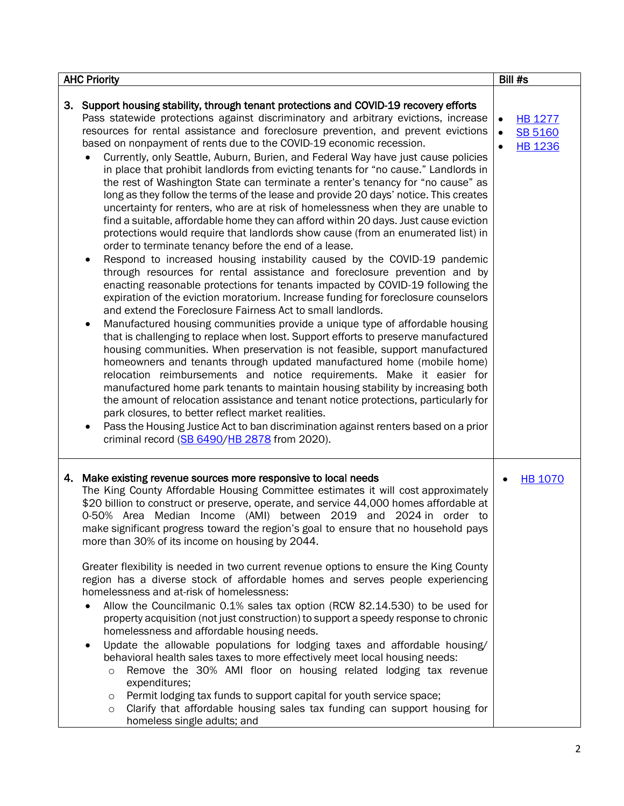| <b>AHC Priority</b>                                                                                                                                                                                                                                                                                                                                                                                                                                                                                                                                                                                                                                                                                                                                                                                                                                                                                                                                                                                                                                                                                                                                                                                                                                                                                                                                                                                                                                                                                                                                                                                                                                                                                                                                                                                                                                                                                                                                                                                                                                                                                                                                                                                                          | Bill #s                                                                      |
|------------------------------------------------------------------------------------------------------------------------------------------------------------------------------------------------------------------------------------------------------------------------------------------------------------------------------------------------------------------------------------------------------------------------------------------------------------------------------------------------------------------------------------------------------------------------------------------------------------------------------------------------------------------------------------------------------------------------------------------------------------------------------------------------------------------------------------------------------------------------------------------------------------------------------------------------------------------------------------------------------------------------------------------------------------------------------------------------------------------------------------------------------------------------------------------------------------------------------------------------------------------------------------------------------------------------------------------------------------------------------------------------------------------------------------------------------------------------------------------------------------------------------------------------------------------------------------------------------------------------------------------------------------------------------------------------------------------------------------------------------------------------------------------------------------------------------------------------------------------------------------------------------------------------------------------------------------------------------------------------------------------------------------------------------------------------------------------------------------------------------------------------------------------------------------------------------------------------------|------------------------------------------------------------------------------|
| 3. Support housing stability, through tenant protections and COVID-19 recovery efforts<br>Pass statewide protections against discriminatory and arbitrary evictions, increase<br>resources for rental assistance and foreclosure prevention, and prevent evictions<br>based on nonpayment of rents due to the COVID-19 economic recession.<br>Currently, only Seattle, Auburn, Burien, and Federal Way have just cause policies<br>in place that prohibit landlords from evicting tenants for "no cause." Landlords in<br>the rest of Washington State can terminate a renter's tenancy for "no cause" as<br>long as they follow the terms of the lease and provide 20 days' notice. This creates<br>uncertainty for renters, who are at risk of homelessness when they are unable to<br>find a suitable, affordable home they can afford within 20 days. Just cause eviction<br>protections would require that landlords show cause (from an enumerated list) in<br>order to terminate tenancy before the end of a lease.<br>Respond to increased housing instability caused by the COVID-19 pandemic<br>$\bullet$<br>through resources for rental assistance and foreclosure prevention and by<br>enacting reasonable protections for tenants impacted by COVID-19 following the<br>expiration of the eviction moratorium. Increase funding for foreclosure counselors<br>and extend the Foreclosure Fairness Act to small landlords.<br>Manufactured housing communities provide a unique type of affordable housing<br>that is challenging to replace when lost. Support efforts to preserve manufactured<br>housing communities. When preservation is not feasible, support manufactured<br>homeowners and tenants through updated manufactured home (mobile home)<br>relocation reimbursements and notice requirements. Make it easier for<br>manufactured home park tenants to maintain housing stability by increasing both<br>the amount of relocation assistance and tenant notice protections, particularly for<br>park closures, to better reflect market realities.<br>Pass the Housing Justice Act to ban discrimination against renters based on a prior<br>٠<br>criminal record (SB 6490/HB 2878 from 2020). | <b>HB 1277</b><br>$\bullet$<br><b>SB 5160</b><br>$\bullet$<br><b>HB 1236</b> |
| Make existing revenue sources more responsive to local needs<br>4.<br>The King County Affordable Housing Committee estimates it will cost approximately<br>\$20 billion to construct or preserve, operate, and service 44,000 homes affordable at<br>0-50% Area Median Income (AMI) between 2019 and 2024 in order to<br>make significant progress toward the region's goal to ensure that no household pays<br>more than 30% of its income on housing by 2044.<br>Greater flexibility is needed in two current revenue options to ensure the King County<br>region has a diverse stock of affordable homes and serves people experiencing<br>homelessness and at-risk of homelessness:<br>Allow the Councilmanic 0.1% sales tax option (RCW 82.14.530) to be used for<br>property acquisition (not just construction) to support a speedy response to chronic<br>homelessness and affordable housing needs.<br>Update the allowable populations for lodging taxes and affordable housing/<br>$\bullet$<br>behavioral health sales taxes to more effectively meet local housing needs:<br>Remove the 30% AMI floor on housing related lodging tax revenue<br>$\circ$<br>expenditures;<br>Permit lodging tax funds to support capital for youth service space;<br>$\circ$<br>Clarify that affordable housing sales tax funding can support housing for<br>$\circ$<br>homeless single adults; and                                                                                                                                                                                                                                                                                                                                                                                                                                                                                                                                                                                                                                                                                                                                                                                                                              | <b>HB 1070</b>                                                               |